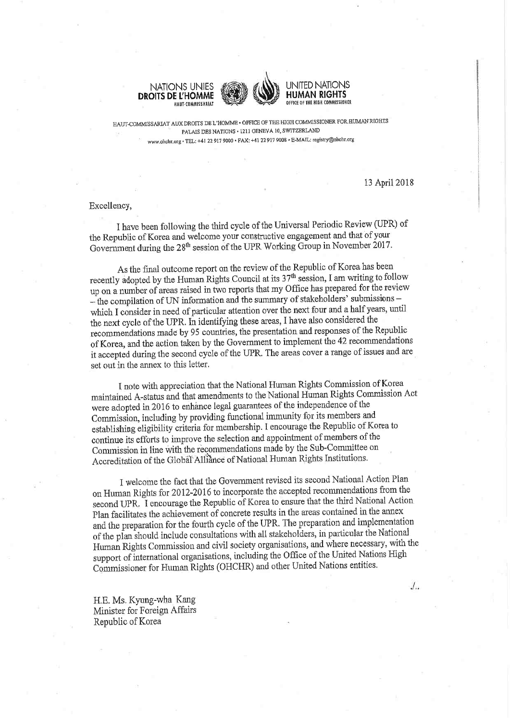





HAUT-COMMISSARIAT AUX DROITS DE L'HOMME . OFFICE OF THE HIGH COMMISSIONER FOR HUMAN RIGHTS PALAIS DES NATIONS · 1211 GENEVA 10, SWITZERLAND www.ohchr.org · TEL: +41 22 917 9000 · FAX: +41 22 917 9008 · E-MAIL: registry@ohchr.org

13 April 2018

 $J_{\cdot \cdot}$ 

## Excellency,

I have been following the third cycle of the Universal Periodic Review (UPR) of the Republic of Korea and welcome your constructive engagement and that of your Government during the 28<sup>th</sup> session of the UPR Working Group in November 2017.

As the final outcome report on the review of the Republic of Korea has been recently adopted by the Human Rights Council at its  $37<sup>th</sup>$  session, I am writing to follow up on a number of areas raised in two reports that my Office has prepared for the review - the compilation of UN information and the summary of stakeholders' submissionswhich I consider in need of particular attention over the next four and a half years, until the next cycle of the UPR. In identifying these areas, I have also considered the recommendations made by 95 countries, the presentation and responses of the Republic of Korea, and the action taken by the Government to implement the 42 recommendations it accepted during the second cycle of the UPR. The areas cover a range of issues and are set out in the annex to this letter.

I note with appreciation that the National Human Rights Commission of Korea maintained A-status and that amendments to the National Human Rights Commission Act were adopted in 2016 to enhance legal guarantees of the independence of the Commission, including by providing functional immunity for its members and establishing eligibility criteria for membership. I encourage the Republic of Korea to continue its efforts to improve the selection and appointment of members of the Commission in line with the recommendations made by the Sub-Committee on Accreditation of the Global Alliance of National Human Rights Institutions.

I welcome the fact that the Government revised its second National Action Plan on Human Rights for 2012-2016 to incorporate the accepted recommendations from the second UPR. I encourage the Republic of Korea to ensure that the third National Action Plan facilitates the achievement of concrete results in the areas contained in the annex and the preparation for the fourth cycle of the UPR. The preparation and implementation of the plan should include consultations with all stakeholders, in particular the National Human Rights Commission and civil society organisations, and where necessary, with the support of international organisations, including the Office of the United Nations High Commissioner for Human Rights (OHCHR) and other United Nations entities.

H.E. Ms. Kyung-wha Kang Minister for Foreign Affairs Republic of Korea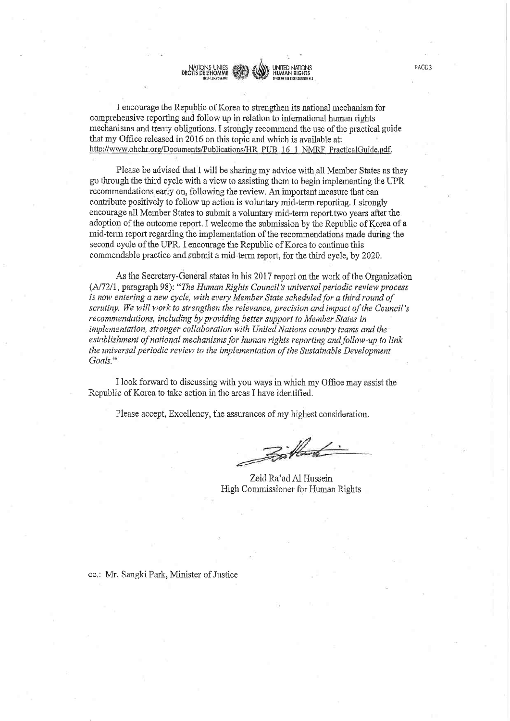I encourage the Republic of Korea to strengthen its national mechanism for comprehensive reporting and follow up in relation to international human rights mechanisms and treaty obligations. I strongly recommend the use of the practical guide that my Office released in 2016 on this topic and which is available at: http://www.ohchr.org/Documents/Publications/HR\_PUB\_16\_1\_NMRF\_PracticalGuide.pdf.

**HIIMAN RIGHTS** 

DROITS DE L'HOMME

Please be advised that I will be sharing my advice with all Member States as they go through the third cycle with a view to assisting them to begin implementing the UPR recommendations early on, following the review. An important measure that can contribute positively to follow up action is voluntary mid-term reporting. I strongly encourage all Member States to submit a voluntary mid-term report two years after the adoption of the outcome report. I welcome the submission by the Republic of Korea of a mid-term report regarding the implementation of the recommendations made during the second cycle of the UPR. I encourage the Republic of Korea to continue this commendable practice and submit a mid-term report, for the third cycle, by 2020.

As the Secretary-General states in his 2017 report on the work of the Organization (A/72/1, paragraph 98): "The Human Rights Council's universal periodic review process is now entering a new cycle, with every Member State scheduled for a third round of scrutiny. We will work to strengthen the relevance, precision and impact of the Council's recommendations, including by providing better support to Member States in implementation, stronger collaboration with United Nations country teams and the establishment of national mechanisms for human rights reporting and follow-up to link the universal periodic review to the implementation of the Sustainable Development Goals."

I look forward to discussing with you ways in which my Office may assist the Republic of Korea to take action in the areas I have identified.

Please accept, Excellency, the assurances of my highest consideration.

Bistand

Zeid Ra'ad Al Hussein High Commissioner for Human Rights

cc.: Mr. Sangki Park, Minister of Justice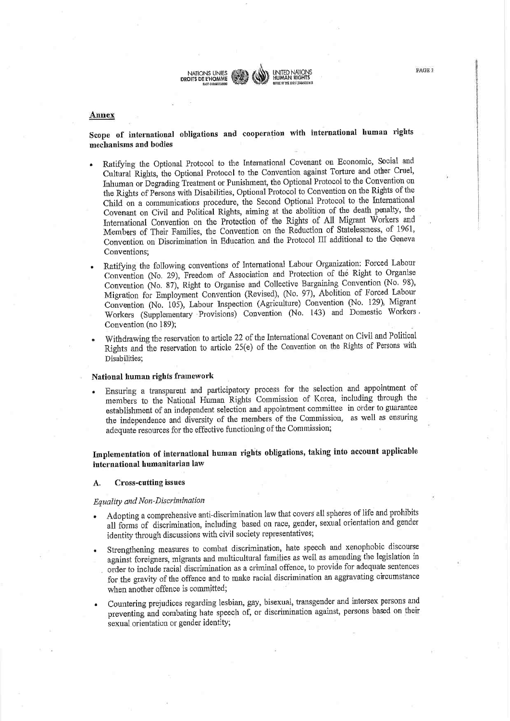

### Annex

# Scope of international obligations and cooperation with international human rights mechanisms and bodies

Ratifying the Optional Protocol to the International Covenant on Economic, Social and Cultural Rights, the Optional Protocol to the Convention against Torture and other Cruel, Inhuman or Degrading Treatment or Punishment, the Optional Protocol to the Convention on the Rights of Persons with Disabilities, Optional Protocol to Convention on the Rights of the Child on a communications procedure, the Second Optional Protocol to the International Covenant on Civil and Political Rights, aiming at the abolition of the death penalty, the International Convention on the Protection of the Rights of All Migrant Workers and Members of Their Families, the Convention on the Reduction of Statelessness, of 1961, Convention on Discrimination in Education and the Protocol III additional to the Geneva Conventions;

Ratifying the following conventions of International Labour Organization: Forced Labour Convention (No. 29), Freedom of Association and Protection of the Right to Organise Convention (No. 87), Right to Organise and Collective Bargaining Convention (No. 98), Migration for Employment Convention (Revised), (No. 97), Abolition of Forced Labour Convention (No. 105), Labour Inspection (Agriculture) Convention (No. 129), Migrant Workers (Supplementary Provisions) Convention (No. 143) and Domestic Workers. Convention (no 189);

Withdrawing the reservation to article 22 of the International Covenant on Civil and Political Rights and the reservation to article 25(e) of the Convention on the Rights of Persons with Disabilities:

# National human rights framework

Ensuring a transparent and participatory process for the selection and appointment of members to the National Human Rights Commission of Korea, including through the establishment of an independent selection and appointment committee in order to guarantee the independence and diversity of the members of the Commission, as well as ensuring adequate resources for the effective functioning of the Commission;

Implementation of international human rights obligations, taking into account applicable international humanitarian law

#### **Cross-cutting issues** A.

## Equality and Non-Discrimination

- Adopting a comprehensive anti-discrimination law that covers all spheres of life and prohibits all forms of discrimination, including based on race, gender, sexual orientation and gender identity through discussions with civil society representatives;
- Strengthening measures to combat discrimination, hate speech and xenophobic discourse against foreigners, migrants and multicultural families as well as amending the legislation in order to include racial discrimination as a criminal offence, to provide for adequate sentences for the gravity of the offence and to make racial discrimination an aggravating circumstance when another offence is committed;
- Countering prejudices regarding lesbian, gay, bisexual, transgender and intersex persons and preventing and combating hate speech of, or discrimination against, persons based on their sexual orientation or gender identity;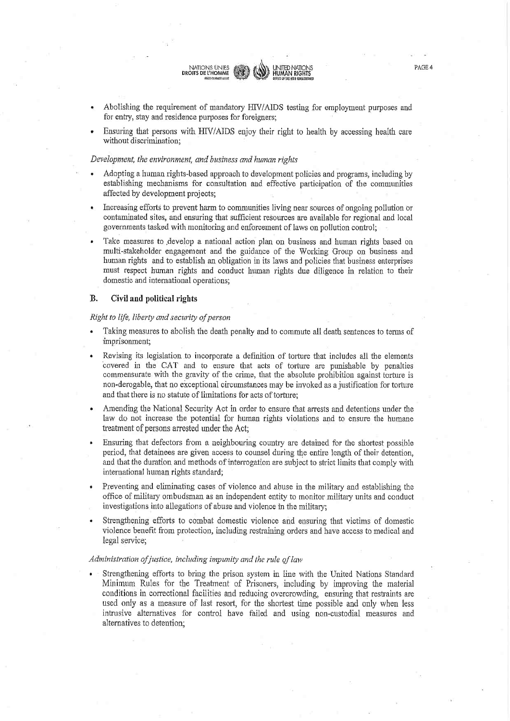Abolishing the requirement of mandatory HIV/AIDS testing for employment purposes and for entry, stay and residence purposes for foreigners;

UNITED NATIONS<br>HUMAN RIGHTS

Ensuring that persons with HIV/AIDS enjoy their right to health by accessing health care without discrimination:

#### Development, the environment, and business and human rights

NATIONS UNIES<br>DROITS DE L'HOMME

- Adopting a human rights-based approach to development policies and programs, including by establishing mechanisms for consultation and effective participation of the communities affected by development projects;
- Increasing efforts to prevent harm to communities living near sources of ongoing pollution or contaminated sites, and ensuring that sufficient resources are available for regional and local governments tasked with monitoring and enforcement of laws on pollution control;
- Take measures to develop a national action plan on business and human rights based on multi-stakeholder engagement and the guidance of the Working Group on business and human rights and to establish an obligation in its laws and policies that business enterprises must respect human rights and conduct human rights due diligence in relation to their domestic and international operations;

#### **B.** Civil and political rights

### Right to life, liberty and security of person

- Taking measures to abolish the death penalty and to commute all death sentences to terms of imprisonment;
- Revising its legislation to incorporate a definition of torture that includes all the elements covered in the CAT and to ensure that acts of torture are punishable by penalties commensurate with the gravity of the crime, that the absolute prohibition against torture is non-derogable, that no exceptional circumstances may be invoked as a justification for torture and that there is no statute of limitations for acts of torture:
- Amending the National Security Act in order to ensure that arrests and detentions under the law do not increase the potential for human rights violations and to ensure the humane treatment of persons arrested under the Act;
- Ensuring that defectors from a neighbouring country are detained for the shortest possible period, that detainees are given access to counsel during the entire length of their detention, and that the duration and methods of interrogation are subject to strict limits that comply with international human rights standard:
- Preventing and eliminating cases of violence and abuse in the military and establishing the office of military ombudsman as an independent entity to monitor military units and conduct investigations into allegations of abuse and violence in the military;
- Strengthening efforts to combat domestic violence and ensuring that victims of domestic violence benefit from protection, including restraining orders and have access to medical and legal service;

#### Administration of justice, including impunity and the rule of law

Strengthening efforts to bring the prison system in line with the United Nations Standard Minimum Rules for the Treatment of Prisoners, including by improving the material conditions in correctional facilities and reducing overcrowding, ensuring that restraints are used only as a measure of last resort, for the shortest time possible and only when less intrusive alternatives for control have failed and using non-custodial measures and alternatives to detention;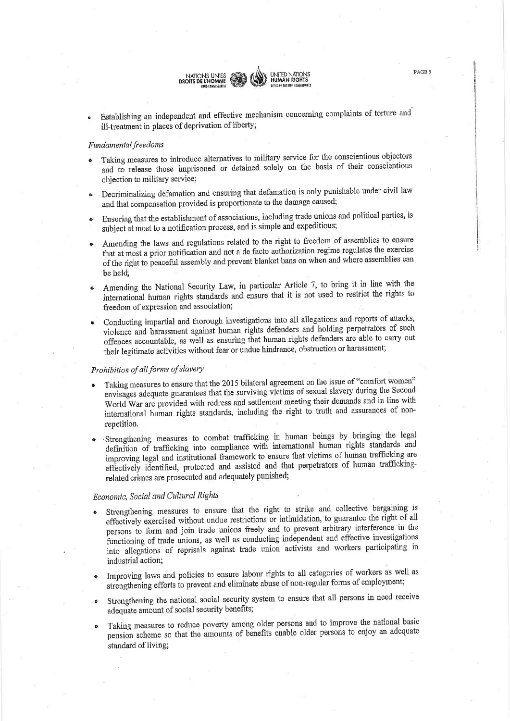Establishing an independent and effective mechanism concerning complaints of torture and ill-treatment in places of deprivation of liberty;

NATIONS UNIES<br>DROITS DE L'HOMME

UNITED NATIONS<br>HUMAN RIGHTS

PAGE 5

## Fundamental freedoms

- Taking measures to introduce alternatives to military service for the conscientious objectors and to release those imprisoned or detained solely on the basis of their conscientious objection to military service;
- · Decriminalizing defamation and ensuring that defamation is only punishable under civil law and that compensation provided is proportionate to the damage caused;
- Ensuring that the establishment of associations, including trade unions and political parties, is subject at most to a notification process, and is simple and expeditious;
- Amending the laws and regulations related to the right to freedom of assemblies to ensure that at most a prior notification and not a de facto authorization regime regulates the exercise of the right to peaceful assembly and prevent blanket bans on when and where assemblies can be held.
- Amending the National Security Law, in particular Article 7, to bring it in line with the international human rights standards and ensure that it is not used to restrict the rights to freedom of expression and association;
- Conducting impartial and thorough investigations into all allegations and reports of attacks, violence and harassment against human rights defenders and holding perpetrators of such offences accountable, as well as ensuring that human rights defenders are able to carry out their legitimate activities without fear or undue hindrance, obstruction or harassment;

# Prohibition of all forms of slavery

- Taking measures to ensure that the 2015 bilateral agreement on the issue of "comfort women" envisages adequate guarantees that the surviving victims of sexual slavery during the Second World War are provided with redress and settlement meeting their demands and in line with international human rights standards, including the right to truth and assurances of nonrepetition.
- ·Strengthening measures to combat trafficking in human beings by bringing the legal definition of trafficking into compliance with international human rights standards and improving legal and institutional framework to ensure that victims of human trafficking are effectively identified, protected and assisted and that perpetrators of human traffickingrelated crimes are prosecuted and adequately punished;

# Economic, Social and Cultural Rights

- Strengthening measures to ensure that the right to strike and collective bargaining is effectively exercised without undue restrictions or intimidation, to guarantee the right of all persons to form and join trade unions freely and to prevent arbitrary interference in the functioning of trade unions, as well as conducting independent and effective investigations into allegations of reprisals against trade union activists and workers participating in industrial action;
- Improving laws and policies to ensure labour rights to all categories of workers as well as strengthening efforts to prevent and eliminate abuse of non-regular forms of employment;
- Strengthening the national social security system to ensure that all persons in need receive adequate amount of social security benefits;
- Taking measures to reduce poverty among older persons and to improve the national basic pension scheme so that the amounts of benefits enable older persons to enjoy an adequate standard of living;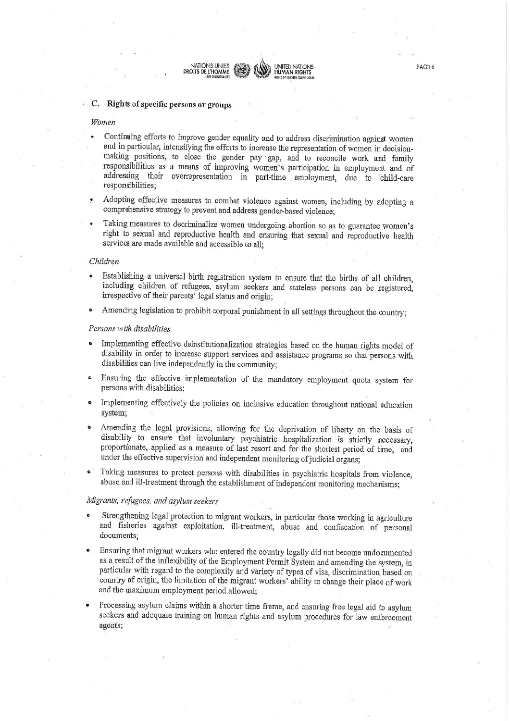## C. Rights of specific persons or groups

NATIONS UNIES

DROITS DE L'HOMME

#### Women

Continuing efforts to improve gender equality and to address discrimination against women and in particular, intensifying the efforts to increase the representation of women in decisionmaking positions, to close the gender pay gap, and to reconcile work and family responsibilities as a means of improving women's participation in employment and of addressing their overrepresentation in part-time employment, due to child-care responsibilities;

**INITED NATIONS** 

HUMAN RIGHTS

- Adopting effective measures to combat violence against women, including by adopting a comprehensive strategy to prevent and address gender-based violence;
- Taking measures to decriminalize women undergoing abortion so as to guarantee women's right to sexual and reproductive health and ensuring that sexual and reproductive health services are made available and accessible to all;

#### Children

- Establishing a universal birth registration system to ensure that the births of all children, including children of refugees, asylum seekers and stateless persons can be registered, irrespective of their parents' legal status and origin;
- Amending legislation to prohibit corporal punishment in all settings throughout the countr

#### Persons with disabilities

- Implementing effective deinstitutionalization strategies based on the human rights model of disability in order to increase support services and assistance programs so that persons with disabilities can live independently in the community;
- Ensuring the effective implementation of the mandatory employment quota system for persons with disabilities;
- Implementing effectively the policies on inclusive education throughout national education system;
- Amending the legal provisions, allowing for the deprivation of liberty on the basis of disability to ensure that involuntary psychiatric hospitalization is strictly necessary, proportionate, applied as a measure of last resort and for the shortest period of time, and under the effective supervision and independent monitoring of judicial organs;
- Taking measures to protect persons with disabilities in psychiatric hospitals from violence, abuse and ill-treatment through the establishment of independent monitoring mechanisms;

## Migrants, refugees, and asylum seekers

- Strengthening legal protection to migrant workers, in particular those working in agriculture and fisheries against exploitation, ill-treatment, abuse and confiscation of personal documents;
- Ensuring that migrant workers who entered the country legally did not become undocumented as a result of the inflexibility of the Employment Permit System and amending the system, in particular with regard to the complexity and variety of types of visa, discrimination based on country of origin, the limitation of the migrant workers' ability to change their place of work and the maximum employment period allowed;
- Processing asylum claims within a shorter time frame, and ensuring free legal aid to asylum seekers and adequate training on human rights and asylum procedures for law enforcement agents;